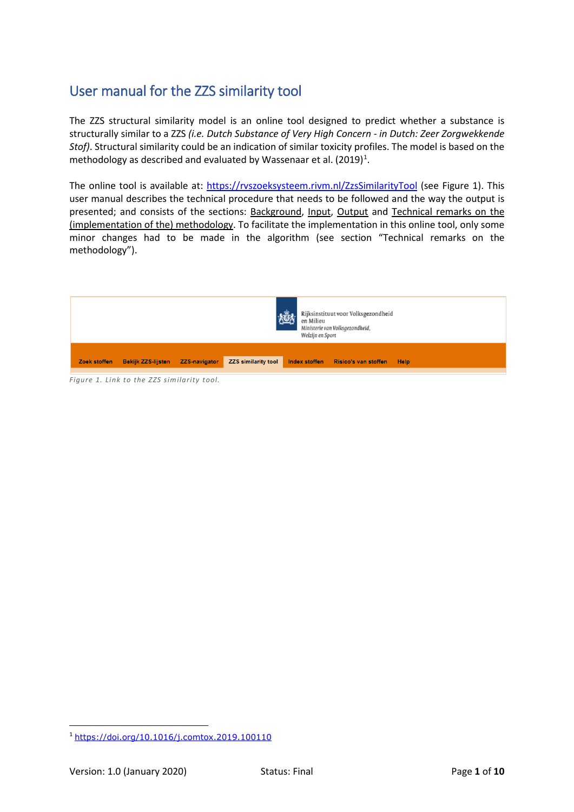# User manual for the ZZS similarity tool

The ZZS structural similarity model is an online tool designed to predict whether a substance is structurally similar to a ZZS *(i.e. Dutch Substance of Very High Concern - in Dutch: Zeer Zorgwekkende Stof)*. Structural similarity could be an indication of similar toxicity profiles. The model is based on the methodology as described and evaluated by Wassenaar et al.  $(2019)^1$  $(2019)^1$  $(2019)^1$ .

The online tool is available at:<https://rvszoeksysteem.rivm.nl/ZzsSimilarityTool> (see Figure 1). This user manual describes the technical procedure that needs to be followed and the way the output is presented; and consists of the sections: Background, Input, Output and Technical remarks on the (implementation of the) methodology. To facilitate the implementation in this online tool, only some minor changes had to be made in the algorithm (see section "Technical remarks on the methodology").



*Figure 1. Link to the ZZS similarity tool.*

<span id="page-0-0"></span> <sup>1</sup> <https://doi.org/10.1016/j.comtox.2019.100110>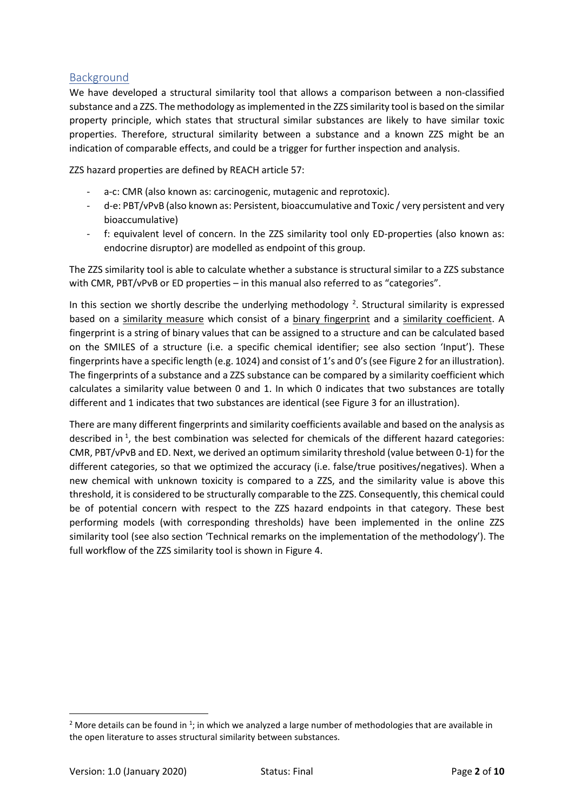## Background

We have developed a structural similarity tool that allows a comparison between a non-classified substance and a ZZS. The methodology as implemented in the ZZS similarity tool is based on the similar property principle, which states that structural similar substances are likely to have similar toxic properties. Therefore, structural similarity between a substance and a known ZZS might be an indication of comparable effects, and could be a trigger for further inspection and analysis.

ZZS hazard properties are defined by REACH article 57:

- a-c: CMR (also known as: carcinogenic, mutagenic and reprotoxic).
- d-e: PBT/vPvB (also known as: Persistent, bioaccumulative and Toxic / very persistent and very bioaccumulative)
- f: equivalent level of concern. In the ZZS similarity tool only ED-properties (also known as: endocrine disruptor) are modelled as endpoint of this group.

The ZZS similarity tool is able to calculate whether a substance is structural similar to a ZZS substance with CMR, PBT/vPvB or ED properties – in this manual also referred to as "categories".

In this section we shortly describe the underlying methodology<sup>[2](#page-1-0)</sup>. Structural similarity is expressed based on a similarity measure which consist of a binary fingerprint and a similarity coefficient. A fingerprint is a string of binary values that can be assigned to a structure and can be calculated based on the SMILES of a structure (i.e. a specific chemical identifier; see also section 'Input'). These fingerprints have a specific length (e.g. 1024) and consist of 1's and 0's (see Figure 2 for an illustration). The fingerprints of a substance and a ZZS substance can be compared by a similarity coefficient which calculates a similarity value between 0 and 1. In which 0 indicates that two substances are totally different and 1 indicates that two substances are identical (see Figure 3 for an illustration).

There are many different fingerprints and similarity coefficients available and based on the analysis as described in<sup>1</sup>, the best combination was selected for chemicals of the different hazard categories: CMR, PBT/vPvB and ED. Next, we derived an optimum similarity threshold (value between 0-1) for the different categories, so that we optimized the accuracy (i.e. false/true positives/negatives). When a new chemical with unknown toxicity is compared to a ZZS, and the similarity value is above this threshold, it is considered to be structurally comparable to the ZZS. Consequently, this chemical could be of potential concern with respect to the ZZS hazard endpoints in that category. These best performing models (with corresponding thresholds) have been implemented in the online ZZS similarity tool (see also section 'Technical remarks on the implementation of the methodology'). The full workflow of the ZZS similarity tool is shown in Figure 4.

<span id="page-1-0"></span>**The Late of Artice 2018**<br>2 More details can be found in <sup>1</sup>; in which we analyzed a large number of methodologies that are available in the open literature to asses structural similarity between substances.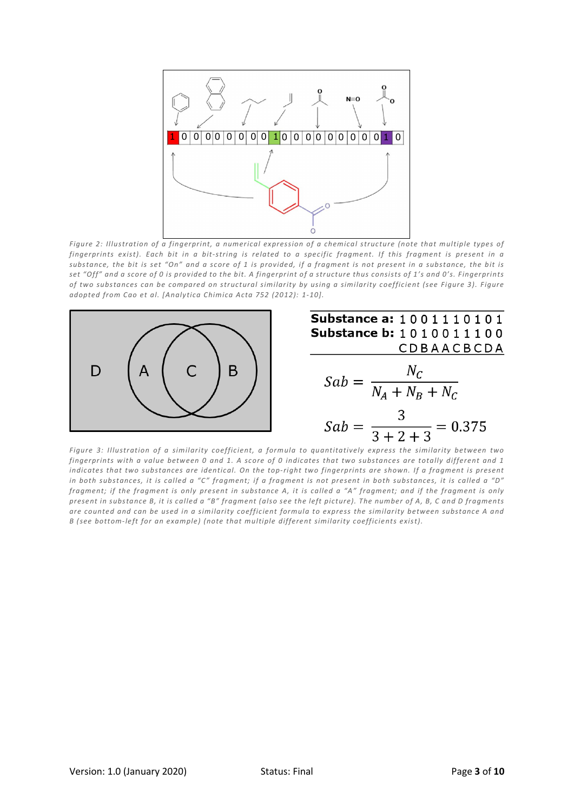

*Figure 2: Illustration of a fingerprint, a numerical expression of a chemical structure (note that multiple types of fingerprints exist). Each bit in a bit-string is related to a specific fragment. If this fragment is present in a substance, the bit is set "On" and a score of 1 is provided, if a fragment is not present in a substance, the bit is set "Off" and a score of 0 is provided to the bit. A fingerprint of a structure thus consists of 1's and 0's. Fingerprints of two substances can be compared on structural similarity by using a similarity coefficient (see Figure 3). Figure adopted from Cao et al. [Analytica Chimica Acta 752 (2012): 1-10].*



*Figure 3: Illustration of a similarity coefficient, a formula to quantitatively express the similarity between two fingerprints with a value between 0 and 1. A score of 0 indicates that two substances are totally different and 1*  indicates that two substances are identical. On the top-right two fingerprints are shown. If a fragment is present *in both substances, it is called a "C" fragment; if a fragment is not present in both substances, it is called a "D" fragment; if the fragment is only present in substance A, it is called a "A" fragment; and if the fragment is only present in substance B, it is called a "B" fragment (also see the left picture). The number of A, B, C and D fragments are counted and can be used in a similarity coefficient formula to express the similarity between substance A and B (see bottom-left for an example) (note that multiple different similarity coefficients exist).*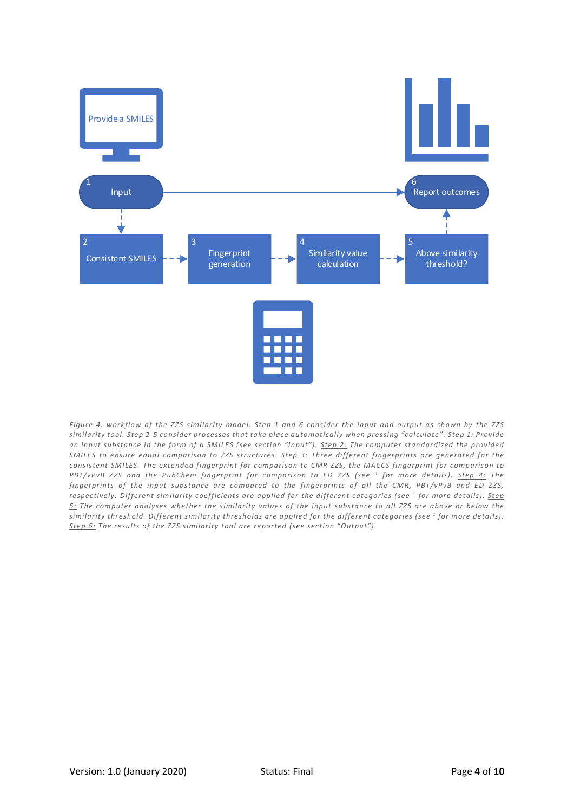

*Figure 4. workflow of the ZZS similarity model. Step 1 and 6 consider the input and output as shown by the ZZS similarity tool. Step 2-5 consider processes that take place automatically when pressing "calculate". Step 1: Provide an input substance in the form of a SMILES (see section "Input"). Step 2: The computer standardized the provided SMILES to ensure equal comparison to ZZS structures. Step 3: Three different fingerprints are generated for the consistent SMILES. The extended fingerprint for comparison to CMR ZZS, the MACCS fingerprint for comparison to PBT/vPvB ZZS and the PubChem fingerprint for comparison to ED ZZS (see 1 for more details). Step 4: The fingerprints of the input substance are compared to the fingerprints of all the CMR, PBT/vPvB and ED ZZS, respectively. Different similarity coefficients are applied for the different categories (see 1 for more details). Step 5: The computer analyses whether the similarity values of the input substance to all ZZS are above or below the similarity threshold. Different similarity thresholds are applied for the different categories (see 1 for more details). Step 6: The results of the ZZS similarity tool are reported (see section "Output").*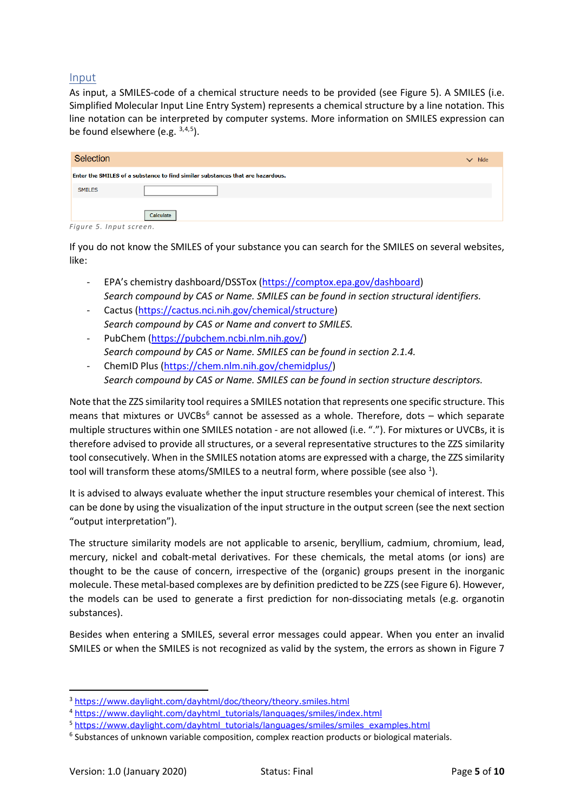### Input

As input, a SMILES-code of a chemical structure needs to be provided (see Figure 5). A SMILES (i.e. Simplified Molecular Input Line Entry System) represents a chemical structure by a line notation. This line notation can be interpreted by computer systems. More information on SMILES expression can be found elsewhere (e.g. [3,](#page-4-0)[4](#page-4-1),[5](#page-4-2)).

| Selection     |                                                                                | hide<br>$\checkmark$ |
|---------------|--------------------------------------------------------------------------------|----------------------|
|               | Enter the SMILES of a substance to find similar substances that are hazardous. |                      |
| <b>SMILES</b> |                                                                                |                      |
|               | Calculate                                                                      |                      |

*Figure 5. Input screen.* 

If you do not know the SMILES of your substance you can search for the SMILES on several websites, like:

- EPA's chemistry dashboard/DSSTox [\(https://comptox.epa.gov/dashboard\)](https://comptox.epa.gov/dashboard) *Search compound by CAS or Name. SMILES can be found in section structural identifiers.*
- Cactus [\(https://cactus.nci.nih.gov/chemical/structure\)](https://cactus.nci.nih.gov/chemical/structure) *Search compound by CAS or Name and convert to SMILES.*
- PubChem [\(https://pubchem.ncbi.nlm.nih.gov/\)](https://pubchem.ncbi.nlm.nih.gov/) *Search compound by CAS or Name. SMILES can be found in section 2.1.4.*
- ChemID Plus [\(https://chem.nlm.nih.gov/chemidplus/\)](https://chem.nlm.nih.gov/chemidplus/) *Search compound by CAS or Name. SMILES can be found in section structure descriptors.*

Note that the ZZS similarity tool requires a SMILES notation that represents one specific structure. This means that mixtures or UVCBs $<sup>6</sup>$  $<sup>6</sup>$  $<sup>6</sup>$  cannot be assessed as a whole. Therefore, dots – which separate</sup> multiple structures within one SMILES notation - are not allowed (i.e. "."). For mixtures or UVCBs, it is therefore advised to provide all structures, or a several representative structures to the ZZS similarity tool consecutively. When in the SMILES notation atoms are expressed with a charge, the ZZS similarity tool will transform these atoms/SMILES to a neutral form, where possible (see also  $^1$ ).

It is advised to always evaluate whether the input structure resembles your chemical of interest. This can be done by using the visualization of the input structure in the output screen (see the next section "output interpretation").

The structure similarity models are not applicable to arsenic, beryllium, cadmium, chromium, lead, mercury, nickel and cobalt-metal derivatives. For these chemicals, the metal atoms (or ions) are thought to be the cause of concern, irrespective of the (organic) groups present in the inorganic molecule. These metal-based complexes are by definition predicted to be ZZS (see Figure 6). However, the models can be used to generate a first prediction for non-dissociating metals (e.g. organotin substances).

Besides when entering a SMILES, several error messages could appear. When you enter an invalid SMILES or when the SMILES is not recognized as valid by the system, the errors as shown in Figure 7

<span id="page-4-0"></span> <sup>3</sup> <https://www.daylight.com/dayhtml/doc/theory/theory.smiles.html>

<span id="page-4-1"></span><sup>4</sup> [https://www.daylight.com/dayhtml\\_tutorials/languages/smiles/index.html](https://www.daylight.com/dayhtml_tutorials/languages/smiles/index.html)

<span id="page-4-2"></span><sup>&</sup>lt;sup>5</sup> [https://www.daylight.com/dayhtml\\_tutorials/languages/smiles/smiles\\_examples.html](https://www.daylight.com/dayhtml_tutorials/languages/smiles/smiles_examples.html)

<span id="page-4-3"></span> $6$  Substances of unknown variable composition, complex reaction products or biological materials.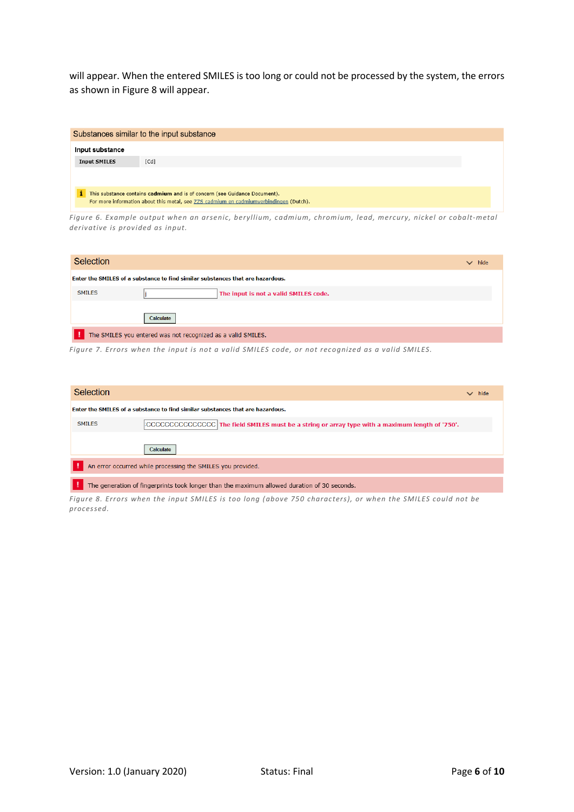will appear. When the entered SMILES is too long or could not be processed by the system, the errors as shown in Figure 8 will appear.

|                     | Substances similar to the input substance                                                                                                                            |
|---------------------|----------------------------------------------------------------------------------------------------------------------------------------------------------------------|
| Input substance     |                                                                                                                                                                      |
| <b>Input SMILES</b> | [Cd]                                                                                                                                                                 |
|                     |                                                                                                                                                                      |
|                     | This substance contains cadmium and is of concern (see Guidance Document).<br>For more information about this metal, see ZZS cadmium en cadmiumverbindingen (Dutch). |

*Figure 6. Example output when an arsenic, beryllium, cadmium, chromium, lead, mercury, nickel or cobalt-metal derivative is provided as input.* 

| <b>Selection</b> |                                                                                | hide<br>$\checkmark$ |
|------------------|--------------------------------------------------------------------------------|----------------------|
|                  | Enter the SMILES of a substance to find similar substances that are hazardous. |                      |
| <b>SMILES</b>    | The input is not a valid SMILES code.                                          |                      |
|                  | Calculate                                                                      |                      |
|                  | The SMILES you entered was not recognized as a valid SMILES.                   |                      |

*Figure 7. Errors when the input is not a valid SMILES code, or not recognized as a valid SMILES.* 

| <b>Selection</b> |                                                                                                                   | $\vee$ hide |
|------------------|-------------------------------------------------------------------------------------------------------------------|-------------|
|                  | Enter the SMILES of a substance to find similar substances that are hazardous.                                    |             |
| <b>SMILES</b>    | $\mathbb E \texttt{CCCCCCCCCCCC}$ The field SMILES must be a string or array type with a maximum length of '750'. |             |
|                  | Calculate                                                                                                         |             |
|                  | An error occurred while processing the SMILES you provided.                                                       |             |
|                  | The generation of fingerprints took longer than the maximum allowed duration of 30 seconds.                       |             |

*Figure 8. Errors when the input SMILES is too long (above 750 characters), or when the SMILES could not be processed.*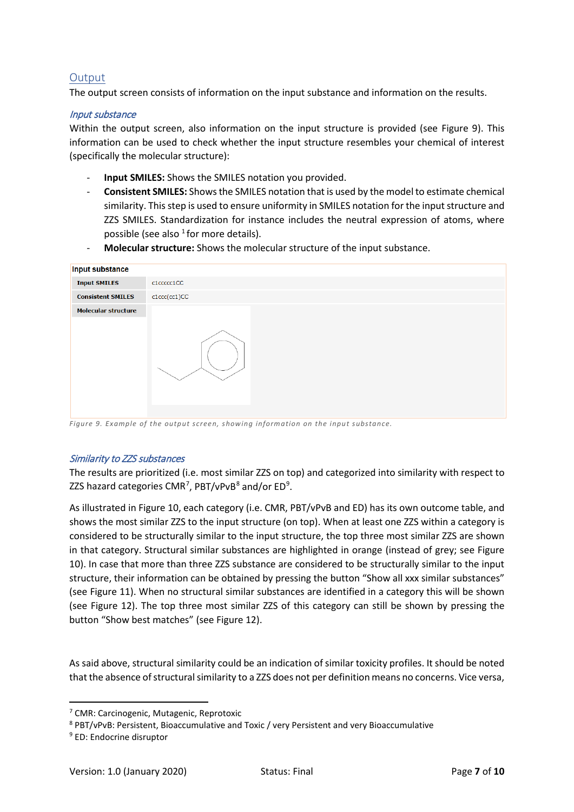## **Output**

The output screen consists of information on the input substance and information on the results.

### Input substance

Within the output screen, also information on the input structure is provided (see Figure 9). This information can be used to check whether the input structure resembles your chemical of interest (specifically the molecular structure):

- **Input SMILES:** Shows the SMILES notation you provided.
- **Consistent SMILES:** Shows the SMILES notation that is used by the model to estimate chemical similarity. This step is used to ensure uniformity in SMILES notation for the input structure and ZZS SMILES. Standardization for instance includes the neutral expression of atoms, where possible (see also  $1$  for more details).
- **Molecular structure:** Shows the molecular structure of the input substance.

| <b>Input substance</b>     |              |
|----------------------------|--------------|
| <b>Input SMILES</b>        | c1ccccc1CC   |
| <b>Consistent SMILES</b>   | c1ccc(cc1)CC |
| <b>Molecular structure</b> |              |

*Figure 9. Example of the output screen, showing information on the input substance.*

#### Similarity to ZZS substances

The results are prioritized (i.e. most similar ZZS on top) and categorized into similarity with respect to ZZS hazard categories CMR<sup>[7](#page-6-0)</sup>, PBT/vPvB<sup>[8](#page-6-1)</sup> and/or ED<sup>[9](#page-6-2)</sup>.

As illustrated in Figure 10, each category (i.e. CMR, PBT/vPvB and ED) has its own outcome table, and shows the most similar ZZS to the input structure (on top). When at least one ZZS within a category is considered to be structurally similar to the input structure, the top three most similar ZZS are shown in that category. Structural similar substances are highlighted in orange (instead of grey; see Figure 10). In case that more than three ZZS substance are considered to be structurally similar to the input structure, their information can be obtained by pressing the button "Show all xxx similar substances" (see Figure 11). When no structural similar substances are identified in a category this will be shown (see Figure 12). The top three most similar ZZS of this category can still be shown by pressing the button "Show best matches" (see Figure 12).

As said above, structural similarity could be an indication of similar toxicity profiles. It should be noted that the absence of structural similarity to a ZZS does not per definition means no concerns. Vice versa,

<span id="page-6-1"></span><sup>8</sup> PBT/vPvB: Persistent, Bioaccumulative and Toxic / very Persistent and very Bioaccumulative

<span id="page-6-0"></span> <sup>7</sup> CMR: Carcinogenic, Mutagenic, Reprotoxic

<span id="page-6-2"></span><sup>9</sup> ED: Endocrine disruptor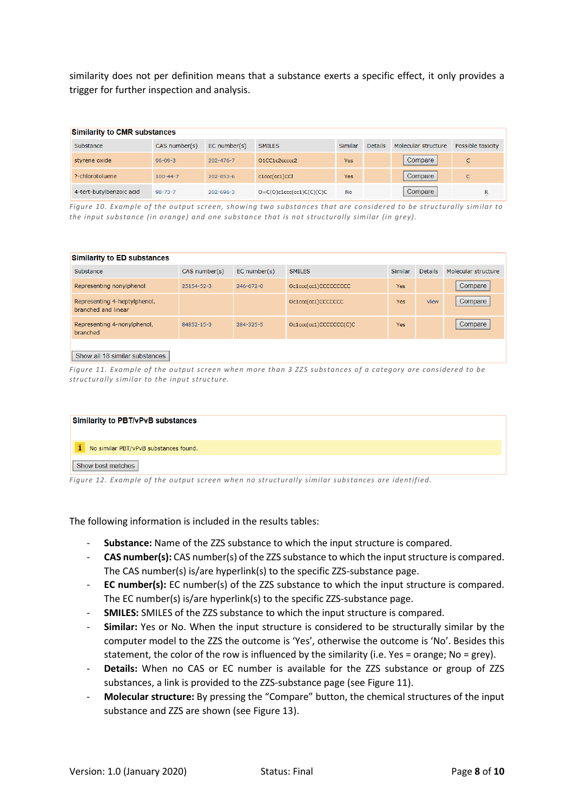similarity does not per definition means that a substance exerts a specific effect, it only provides a trigger for further inspection and analysis.

| <b>Similarity to CMR substances</b> |                |                   |                            |                |                |                     |                   |  |
|-------------------------------------|----------------|-------------------|----------------------------|----------------|----------------|---------------------|-------------------|--|
| Substance                           | CAS number(s)  | $EC$ number $(s)$ | <b>SMILES</b>              | <b>Similar</b> | <b>Details</b> | Molecular structure | Possible toxicity |  |
| styrene oxide                       | $96 - 09 - 3$  | $202 - 476 - 7$   | O1CC1c2ccccc2              | <b>Yes</b>     |                | Compare             | $\overline{c}$    |  |
| ?-chlorotoluene                     | $100 - 44 - 7$ | $202 - 853 - 6$   | c1ccc(cc1)CCl              | <b>Yes</b>     |                | Compare             | $\overline{c}$    |  |
| 4-tert-butylbenzoic acid            | $98 - 73 - 7$  | $202 - 696 - 3$   | $O=C(O)c1ccc(cc1)C(C)(C)C$ | <b>No</b>      |                | Compare             | R<br><b>COLOR</b> |  |

*Figure 10. Example of the output screen, showing two substances that are considered to be structurally similar to the input substance (in orange) and one substance that is not structurally similar (in grey).* 

| <b>Similarity to ED substances</b>                  |               |                   |                        |            |                |                     |  |
|-----------------------------------------------------|---------------|-------------------|------------------------|------------|----------------|---------------------|--|
| Substance                                           | CAS number(s) | $EC$ number $(s)$ | <b>SMILES</b>          | Similar    | <b>Details</b> | Molecular structure |  |
| Representing nonylphenol                            | 25154-52-3    | 246-672-0         | Oc1ccc(cc1)CCCCCCCCC   | <b>Yes</b> |                | Compare             |  |
| Representing 4-heptylphenol,<br>branched and linear |               |                   | Oc1ccc(cc1)CCCCCCC     | <b>Yes</b> | <b>View</b>    | Compare             |  |
| Representing 4-nonylphenol,<br>branched             | 84852-15-3    | 284-325-5         | Oc1ccc(cc1)CCCCCCC(C)C | <b>Yes</b> |                | Compare             |  |
| Show all 18 similar substances                      |               |                   |                        |            |                |                     |  |

*Figure 11. Example of the output screen when more than 3 ZZS substances of a category are considered to be structurally similar to the input structure.* 

| Similarity to PBT/vPvB substances     |  |  |
|---------------------------------------|--|--|
| No similar PBT/vPvB substances found. |  |  |
| Show best matches                     |  |  |

*Figure 12. Example of the output screen when no structurally similar substances are identified.* 

The following information is included in the results tables:

- **Substance:** Name of the ZZS substance to which the input structure is compared.
- **CAS number(s):** CAS number(s) of the ZZS substance to which the input structure is compared. The CAS number(s) is/are hyperlink(s) to the specific ZZS-substance page.
- **EC number(s):** EC number(s) of the ZZS substance to which the input structure is compared. The EC number(s) is/are hyperlink(s) to the specific ZZS-substance page.
- **SMILES:** SMILES of the ZZS substance to which the input structure is compared.
- **Similar:** Yes or No. When the input structure is considered to be structurally similar by the computer model to the ZZS the outcome is 'Yes', otherwise the outcome is 'No'. Besides this statement, the color of the row is influenced by the similarity (i.e. Yes = orange; No = grey).
- Details: When no CAS or EC number is available for the ZZS substance or group of ZZS substances, a link is provided to the ZZS-substance page (see Figure 11).
- **Molecular structure:** By pressing the "Compare" button, the chemical structures of the input substance and ZZS are shown (see Figure 13).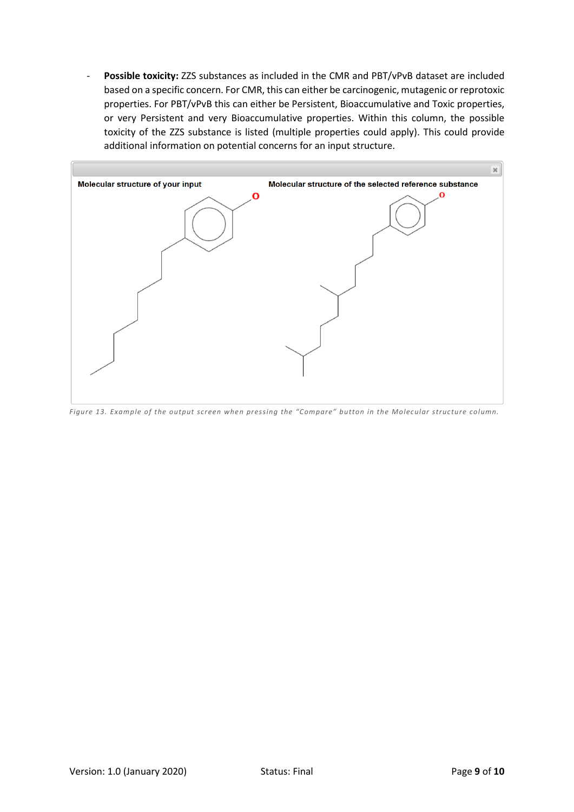- **Possible toxicity:** ZZS substances as included in the CMR and PBT/vPvB dataset are included based on a specific concern. For CMR, this can either be carcinogenic, mutagenic or reprotoxic properties. For PBT/vPvB this can either be Persistent, Bioaccumulative and Toxic properties, or very Persistent and very Bioaccumulative properties. Within this column, the possible toxicity of the ZZS substance is listed (multiple properties could apply). This could provide additional information on potential concerns for an input structure.



*Figure 13. Example of the output screen when pressing the "Compare" button in the Molecular structure column.*